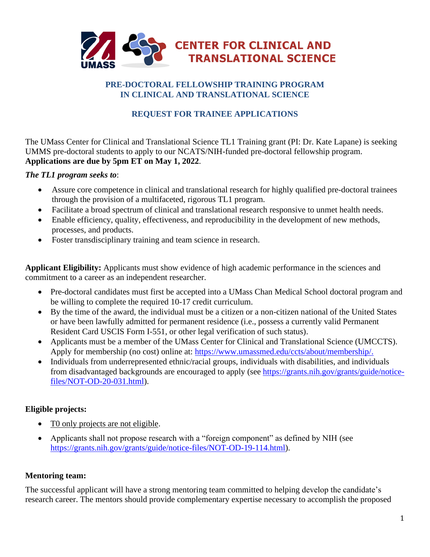

## **PRE-DOCTORAL FELLOWSHIP TRAINING PROGRAM IN CLINICAL AND TRANSLATIONAL SCIENCE**

# **REQUEST FOR TRAINEE APPLICATIONS**

The UMass Center for Clinical and Translational Science TL1 Training grant (PI: Dr. Kate Lapane) is seeking UMMS pre-doctoral students to apply to our NCATS/NIH-funded pre-doctoral fellowship program. **Applications are due by 5pm ET on May 1, 2022**.

#### *The TL1 program seeks to*:

- Assure core competence in clinical and translational research for highly qualified pre-doctoral trainees through the provision of a multifaceted, rigorous TL1 program.
- Facilitate a broad spectrum of clinical and translational research responsive to unmet health needs.
- Enable efficiency, quality, effectiveness, and reproducibility in the development of new methods, processes, and products.
- Foster transdisciplinary training and team science in research.

**Applicant Eligibility:** Applicants must show evidence of high academic performance in the sciences and commitment to a career as an independent researcher.

- Pre-doctoral candidates must first be accepted into a UMass Chan Medical School doctoral program and be willing to complete the required 10-17 credit curriculum.
- By the time of the award, the individual must be a citizen or a non-citizen national of the United States or have been lawfully admitted for permanent residence (i.e., possess a currently valid Permanent Resident Card USCIS Form I-551, or other legal verification of such status).
- Applicants must be a member of the UMass Center for Clinical and Translational Science (UMCCTS). Apply for membership (no cost) online at: [https://www.umassmed.edu/ccts/about/membership/.](https://www.umassmed.edu/ccts/about/membership/)
- Individuals from underrepresented ethnic/racial groups, individuals with disabilities, and individuals from disadvantaged backgrounds are encouraged to apply (see [https://grants.nih.gov/grants/guide/notice](https://grants.nih.gov/grants/guide/notice-files/NOT-OD-20-031.html)[files/NOT-OD-20-031.html\)](https://grants.nih.gov/grants/guide/notice-files/NOT-OD-20-031.html).

## **Eligible projects:**

- T0 only projects are not eligible.
- Applicants shall not propose research with a "foreign component" as defined by NIH (see [https://grants.nih.gov/grants/guide/notice-files/NOT-OD-19-114.html\)](https://grants.nih.gov/grants/guide/notice-files/NOT-OD-19-114.html).

## **Mentoring team:**

The successful applicant will have a strong mentoring team committed to helping develop the candidate's research career. The mentors should provide complementary expertise necessary to accomplish the proposed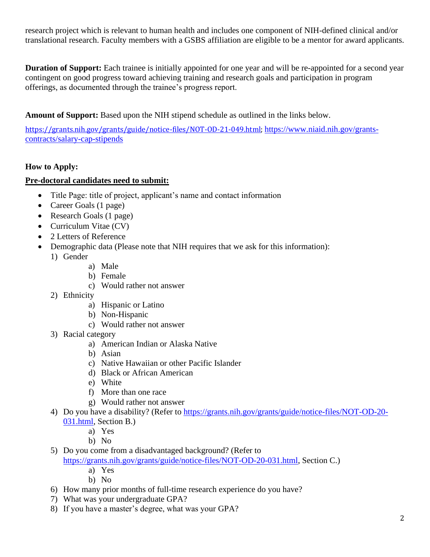research project which is relevant to human health and includes one component of NIH-defined clinical and/or translational research. Faculty members with a GSBS affiliation are eligible to be a mentor for award applicants.

**Duration of Support:** Each trainee is initially appointed for one year and will be re-appointed for a second year contingent on good progress toward achieving training and research goals and participation in program offerings, as documented through the trainee's progress report.

**Amount of Support:** Based upon the NIH stipend schedule as outlined in the links below.

[https://grants.nih.gov/grants/guide/notice-files/NOT-OD-21-049.html;](https://grants.nih.gov/grants/guide/notice-files/NOT-OD-21-049.html) [https://www.niaid.nih.gov/grants](https://www.niaid.nih.gov/grants-contracts/salary-cap-stipends)[contracts/salary-cap-stipends](https://www.niaid.nih.gov/grants-contracts/salary-cap-stipends)

## **How to Apply:**

## **Pre-doctoral candidates need to submit:**

- Title Page: title of project, applicant's name and contact information
- Career Goals (1 page)
- Research Goals (1 page)
- Curriculum Vitae (CV)
- 2 Letters of Reference
- Demographic data (Please note that NIH requires that we ask for this information):
	- 1) Gender
		- a) Male
		- b) Female
		- c) Would rather not answer
	- 2) Ethnicity
		- a) Hispanic or Latino
		- b) Non-Hispanic
		- c) Would rather not answer
	- 3) Racial category
		- a) American Indian or Alaska Native
		- b) Asian
		- c) Native Hawaiian or other Pacific Islander
		- d) Black or African American
		- e) White
		- f) More than one race
		- g) Would rather not answer
	- 4) Do you have a disability? (Refer to [https://grants.nih.gov/grants/guide/notice-files/NOT-OD-20-](https://grants.nih.gov/grants/guide/notice-files/NOT-OD-20-031.html) [031.html,](https://grants.nih.gov/grants/guide/notice-files/NOT-OD-20-031.html) Section B.)
		- a) Yes
		- b) No
	- 5) Do you come from a disadvantaged background? (Refer to [https://grants.nih.gov/grants/guide/notice-files/NOT-OD-20-031.html,](https://grants.nih.gov/grants/guide/notice-files/NOT-OD-20-031.html) Section C.)
		- a) Yes
		- b) No
	- 6) How many prior months of full-time research experience do you have?
	- 7) What was your undergraduate GPA?
	- 8) If you have a master's degree, what was your GPA?